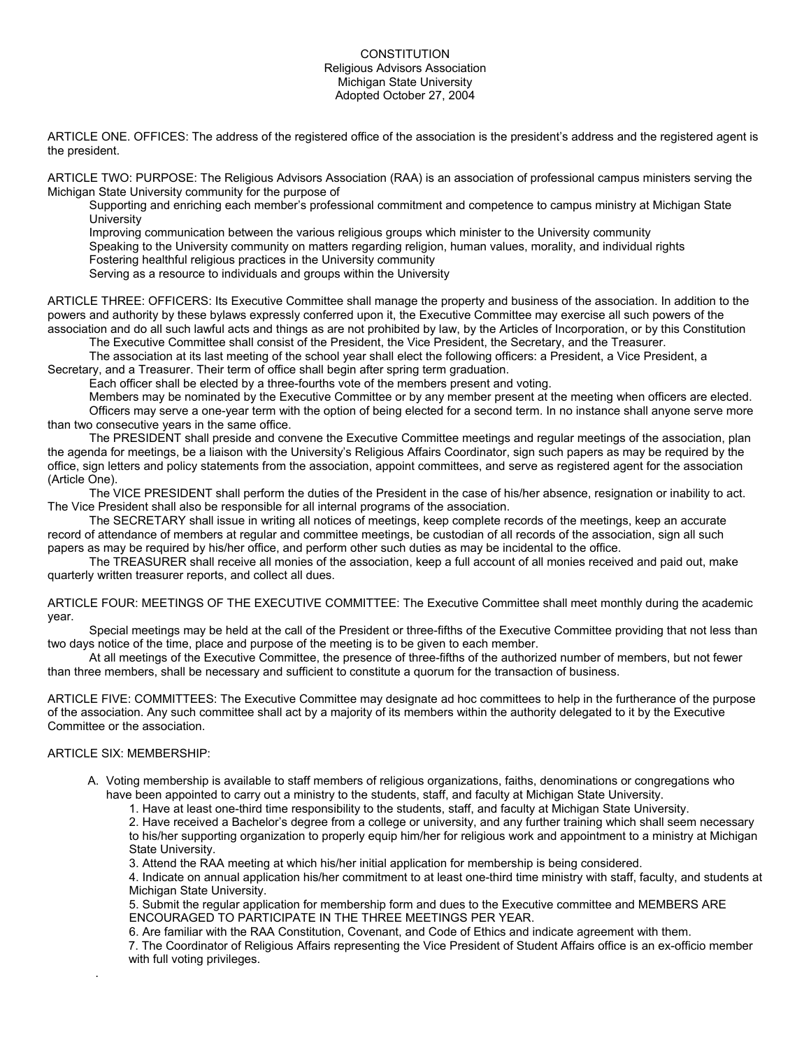## **CONSTITUTION** Religious Advisors Association Michigan State University Adopted October 27, 2004

ARTICLE ONE. OFFICES: The address of the registered office of the association is the president's address and the registered agent is the president.

ARTICLE TWO: PURPOSE: The Religious Advisors Association (RAA) is an association of professional campus ministers serving the Michigan State University community for the purpose of

Supporting and enriching each member's professional commitment and competence to campus ministry at Michigan State **University** 

Improving communication between the various religious groups which minister to the University community

Speaking to the University community on matters regarding religion, human values, morality, and individual rights

Fostering healthful religious practices in the University community

Serving as a resource to individuals and groups within the University

ARTICLE THREE: OFFICERS: Its Executive Committee shall manage the property and business of the association. In addition to the powers and authority by these bylaws expressly conferred upon it, the Executive Committee may exercise all such powers of the association and do all such lawful acts and things as are not prohibited by law, by the Articles of Incorporation, or by this Constitution

The Executive Committee shall consist of the President, the Vice President, the Secretary, and the Treasurer.

The association at its last meeting of the school year shall elect the following officers: a President, a Vice President, a Secretary, and a Treasurer. Their term of office shall begin after spring term graduation.

Each officer shall be elected by a three-fourths vote of the members present and voting.

Members may be nominated by the Executive Committee or by any member present at the meeting when officers are elected. Officers may serve a one-year term with the option of being elected for a second term. In no instance shall anyone serve more than two consecutive years in the same office.

The PRESIDENT shall preside and convene the Executive Committee meetings and regular meetings of the association, plan the agenda for meetings, be a liaison with the University's Religious Affairs Coordinator, sign such papers as may be required by the office, sign letters and policy statements from the association, appoint committees, and serve as registered agent for the association (Article One).

The VICE PRESIDENT shall perform the duties of the President in the case of his/her absence, resignation or inability to act. The Vice President shall also be responsible for all internal programs of the association.

The SECRETARY shall issue in writing all notices of meetings, keep complete records of the meetings, keep an accurate record of attendance of members at regular and committee meetings, be custodian of all records of the association, sign all such papers as may be required by his/her office, and perform other such duties as may be incidental to the office.

The TREASURER shall receive all monies of the association, keep a full account of all monies received and paid out, make quarterly written treasurer reports, and collect all dues.

ARTICLE FOUR: MEETINGS OF THE EXECUTIVE COMMITTEE: The Executive Committee shall meet monthly during the academic year.

Special meetings may be held at the call of the President or three-fifths of the Executive Committee providing that not less than two days notice of the time, place and purpose of the meeting is to be given to each member.

At all meetings of the Executive Committee, the presence of three-fifths of the authorized number of members, but not fewer than three members, shall be necessary and sufficient to constitute a quorum for the transaction of business.

ARTICLE FIVE: COMMITTEES: The Executive Committee may designate ad hoc committees to help in the furtherance of the purpose of the association. Any such committee shall act by a majority of its members within the authority delegated to it by the Executive Committee or the association.

## ARTICLE SIX: MEMBERSHIP:

.

A. Voting membership is available to staff members of religious organizations, faiths, denominations or congregations who have been appointed to carry out a ministry to the students, staff, and faculty at Michigan State University.

1. Have at least one-third time responsibility to the students, staff, and faculty at Michigan State University.

2. Have received a Bachelor's degree from a college or university, and any further training which shall seem necessary to his/her supporting organization to properly equip him/her for religious work and appointment to a ministry at Michigan State University.

3. Attend the RAA meeting at which his/her initial application for membership is being considered.

4. Indicate on annual application his/her commitment to at least one-third time ministry with staff, faculty, and students at Michigan State University.

5. Submit the regular application for membership form and dues to the Executive committee and MEMBERS ARE ENCOURAGED TO PARTICIPATE IN THE THREE MEETINGS PER YEAR.

6. Are familiar with the RAA Constitution, Covenant, and Code of Ethics and indicate agreement with them.

 7. The Coordinator of Religious Affairs representing the Vice President of Student Affairs office is an ex-officio member with full voting privileges.